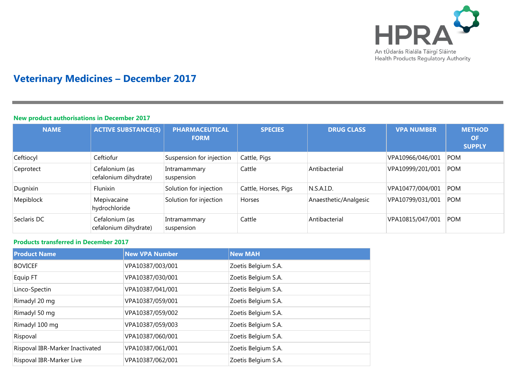

# **Veterinary Medicines – December 2017**

## **New product authorisations in December 2017**

| <b>NAME</b> | <b>ACTIVE SUBSTANCE(S)</b>              | <b>PHARMACEUTICAL</b><br><b>FORM</b> | <b>SPECIES</b>       | <b>DRUG CLASS</b>     | <b>VPA NUMBER</b> | <b>METHOD</b><br><b>OF</b><br><b>SUPPLY</b> |
|-------------|-----------------------------------------|--------------------------------------|----------------------|-----------------------|-------------------|---------------------------------------------|
| Ceftiocyl   | Ceftiofur                               | Suspension for injection             | Cattle, Pigs         |                       | VPA10966/046/001  | <b>POM</b>                                  |
| Ceprotect   | Cefalonium (as<br>cefalonium dihydrate) | Intramammary<br>suspension           | Cattle               | Antibacterial         | VPA10999/201/001  | <b>POM</b>                                  |
| Dugnixin    | Flunixin                                | Solution for injection               | Cattle, Horses, Pigs | N.S.A.I.D.            | VPA10477/004/001  | <b>POM</b>                                  |
| Mepiblock   | Mepivacaine<br>hydrochloride            | Solution for injection               | Horses               | Anaesthetic/Analgesic | VPA10799/031/001  | <b>POM</b>                                  |
| Seclaris DC | Cefalonium (as<br>cefalonium dihydrate) | Intramammary<br>suspension           | Cattle               | Antibacterial         | VPA10815/047/001  | <b>POM</b>                                  |

## **Products transferred in December 2017**

| <b>Product Name</b>             | <b>New VPA Number</b> | <b>New MAH</b>      |
|---------------------------------|-----------------------|---------------------|
| <b>BOVICEF</b>                  | VPA10387/003/001      | Zoetis Belgium S.A. |
| Equip FT                        | VPA10387/030/001      | Zoetis Belgium S.A. |
| Linco-Spectin                   | VPA10387/041/001      | Zoetis Belgium S.A. |
| Rimadyl 20 mg                   | VPA10387/059/001      | Zoetis Belgium S.A. |
| Rimadyl 50 mg                   | VPA10387/059/002      | Zoetis Belgium S.A. |
| Rimadyl 100 mg                  | VPA10387/059/003      | Zoetis Belgium S.A. |
| Rispoval                        | VPA10387/060/001      | Zoetis Belgium S.A. |
| Rispoval IBR-Marker Inactivated | VPA10387/061/001      | Zoetis Belgium S.A. |
| Rispoval IBR-Marker Live        | VPA10387/062/001      | Zoetis Belgium S.A. |